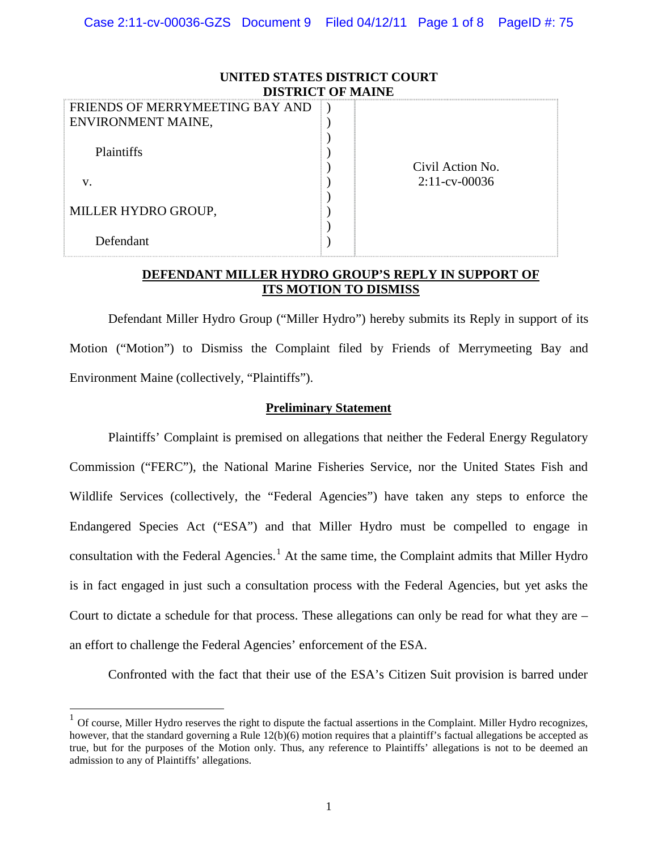| UNITED STATES DISTRICT COURT<br><b>DISTRICT OF MAINE</b> |                  |  |
|----------------------------------------------------------|------------------|--|
| FRIENDS OF MERRYMEETING BAY AND<br>ENVIRONMENT MAINE,    |                  |  |
| Plaintiffs                                               | Civil Action No. |  |
| V.                                                       | $2:11$ -cv-00036 |  |
| MILLER HYDRO GROUP,                                      |                  |  |
| Defendant                                                |                  |  |

## **DEFENDANT MILLER HYDRO GROUP'S REPLY IN SUPPORT OF ITS MOTION TO DISMISS**

Defendant Miller Hydro Group ("Miller Hydro") hereby submits its Reply in support of its Motion ("Motion") to Dismiss the Complaint filed by Friends of Merrymeeting Bay and Environment Maine (collectively, "Plaintiffs").

## **Preliminary Statement**

Plaintiffs' Complaint is premised on allegations that neither the Federal Energy Regulatory Commission ("FERC"), the National Marine Fisheries Service, nor the United States Fish and Wildlife Services (collectively, the "Federal Agencies") have taken any steps to enforce the Endangered Species Act ("ESA") and that Miller Hydro must be compelled to engage in consultation with the Federal Agencies.<sup>[1](#page-0-0)</sup> At the same time, the Complaint admits that Miller Hydro is in fact engaged in just such a consultation process with the Federal Agencies, but yet asks the Court to dictate a schedule for that process. These allegations can only be read for what they are – an effort to challenge the Federal Agencies' enforcement of the ESA.

Confronted with the fact that their use of the ESA's Citizen Suit provision is barred under

<span id="page-0-0"></span> $1$  Of course, Miller Hydro reserves the right to dispute the factual assertions in the Complaint. Miller Hydro recognizes, however, that the standard governing a Rule 12(b)(6) motion requires that a plaintiff's factual allegations be accepted as true, but for the purposes of the Motion only. Thus, any reference to Plaintiffs' allegations is not to be deemed an admission to any of Plaintiffs' allegations.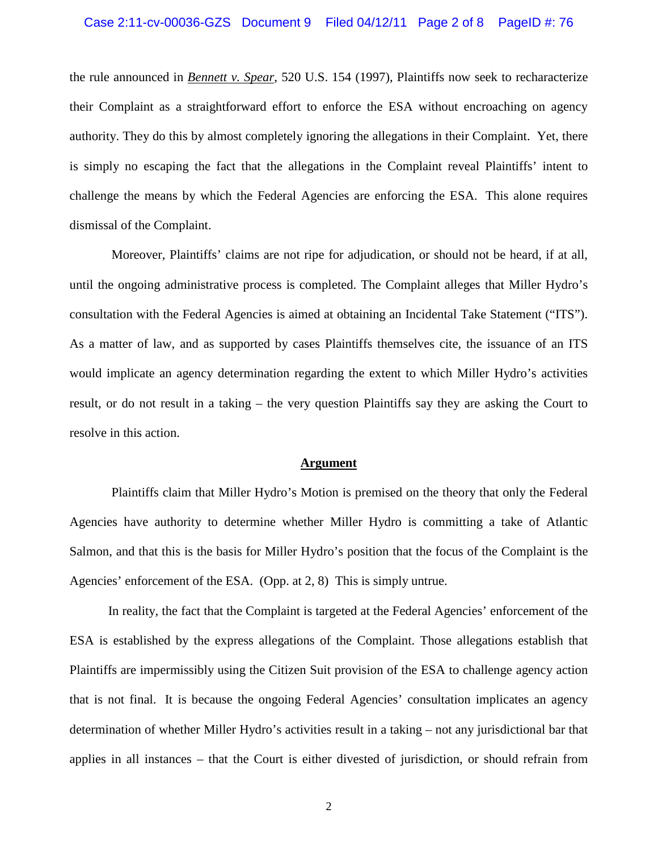the rule announced in *Bennett v. Spear*, 520 U.S. 154 (1997), Plaintiffs now seek to recharacterize their Complaint as a straightforward effort to enforce the ESA without encroaching on agency authority. They do this by almost completely ignoring the allegations in their Complaint. Yet, there is simply no escaping the fact that the allegations in the Complaint reveal Plaintiffs' intent to challenge the means by which the Federal Agencies are enforcing the ESA. This alone requires dismissal of the Complaint.

Moreover, Plaintiffs' claims are not ripe for adjudication, or should not be heard, if at all, until the ongoing administrative process is completed. The Complaint alleges that Miller Hydro's consultation with the Federal Agencies is aimed at obtaining an Incidental Take Statement ("ITS"). As a matter of law, and as supported by cases Plaintiffs themselves cite, the issuance of an ITS would implicate an agency determination regarding the extent to which Miller Hydro's activities result, or do not result in a taking – the very question Plaintiffs say they are asking the Court to resolve in this action.

#### **Argument**

Plaintiffs claim that Miller Hydro's Motion is premised on the theory that only the Federal Agencies have authority to determine whether Miller Hydro is committing a take of Atlantic Salmon, and that this is the basis for Miller Hydro's position that the focus of the Complaint is the Agencies' enforcement of the ESA. (Opp. at 2, 8) This is simply untrue.

In reality, the fact that the Complaint is targeted at the Federal Agencies' enforcement of the ESA is established by the express allegations of the Complaint. Those allegations establish that Plaintiffs are impermissibly using the Citizen Suit provision of the ESA to challenge agency action that is not final. It is because the ongoing Federal Agencies' consultation implicates an agency determination of whether Miller Hydro's activities result in a taking – not any jurisdictional bar that applies in all instances – that the Court is either divested of jurisdiction, or should refrain from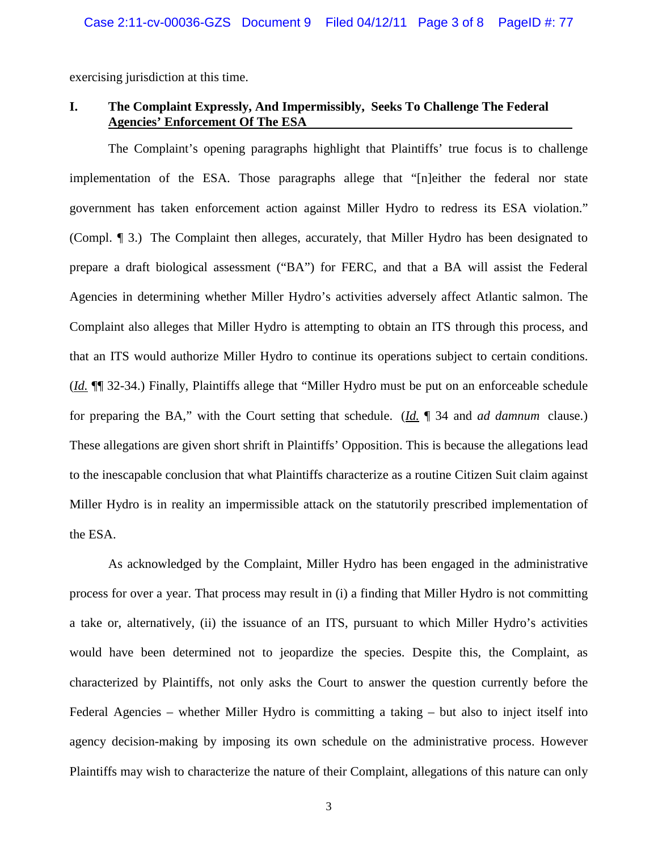exercising jurisdiction at this time.

## **I. The Complaint Expressly, And Impermissibly, Seeks To Challenge The Federal Agencies' Enforcement Of The ESA**

 The Complaint's opening paragraphs highlight that Plaintiffs' true focus is to challenge implementation of the ESA. Those paragraphs allege that "[n]either the federal nor state government has taken enforcement action against Miller Hydro to redress its ESA violation." (Compl. ¶ 3.) The Complaint then alleges, accurately, that Miller Hydro has been designated to prepare a draft biological assessment ("BA") for FERC, and that a BA will assist the Federal Agencies in determining whether Miller Hydro's activities adversely affect Atlantic salmon. The Complaint also alleges that Miller Hydro is attempting to obtain an ITS through this process, and that an ITS would authorize Miller Hydro to continue its operations subject to certain conditions. (*Id.* ¶¶ 32-34.) Finally, Plaintiffs allege that "Miller Hydro must be put on an enforceable schedule for preparing the BA," with the Court setting that schedule. (*Id.* ¶ 34 and *ad damnum* clause.) These allegations are given short shrift in Plaintiffs' Opposition. This is because the allegations lead to the inescapable conclusion that what Plaintiffs characterize as a routine Citizen Suit claim against Miller Hydro is in reality an impermissible attack on the statutorily prescribed implementation of the ESA.

As acknowledged by the Complaint, Miller Hydro has been engaged in the administrative process for over a year. That process may result in (i) a finding that Miller Hydro is not committing a take or, alternatively, (ii) the issuance of an ITS, pursuant to which Miller Hydro's activities would have been determined not to jeopardize the species. Despite this, the Complaint, as characterized by Plaintiffs, not only asks the Court to answer the question currently before the Federal Agencies – whether Miller Hydro is committing a taking – but also to inject itself into agency decision-making by imposing its own schedule on the administrative process. However Plaintiffs may wish to characterize the nature of their Complaint, allegations of this nature can only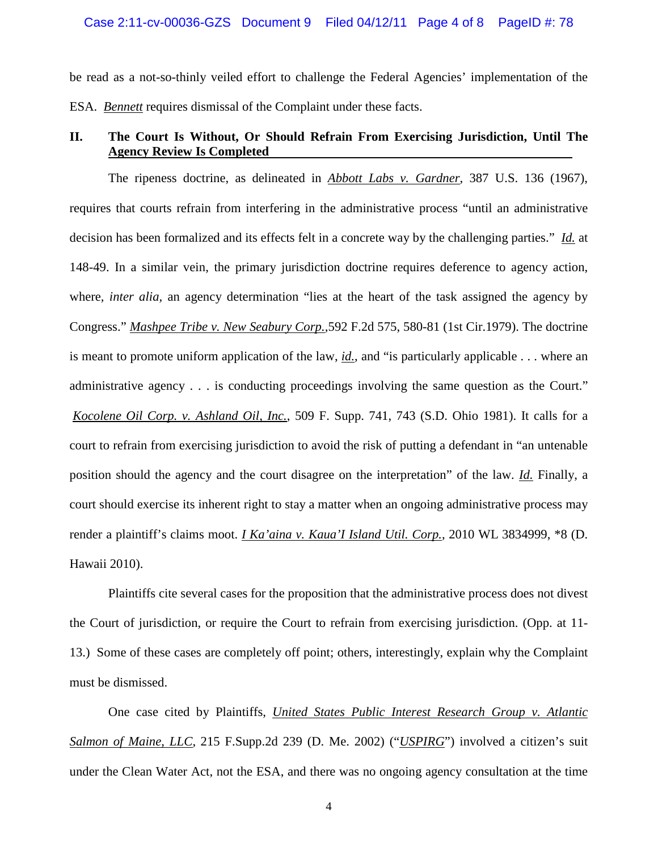be read as a not-so-thinly veiled effort to challenge the Federal Agencies' implementation of the ESA. *Bennett* requires dismissal of the Complaint under these facts.

## **II. The Court Is Without, Or Should Refrain From Exercising Jurisdiction, Until The Agency Review Is Completed**

The ripeness doctrine, as delineated in *Abbott Labs v. Gardner*, 387 U.S. 136 (1967), requires that courts refrain from interfering in the administrative process "until an administrative decision has been formalized and its effects felt in a concrete way by the challenging parties." *Id.* at 148-49. In a similar vein, the primary jurisdiction doctrine requires deference to agency action, where*, inter alia,* an agency determination "lies at the heart of the task assigned the agency by Congress." *Mashpee Tribe v. New Seabury Corp.,*592 F.2d 575, 580-81 (1st Cir.1979). The doctrine is meant to promote uniform application of the law, *id.*, and "is particularly applicable . . . where an administrative agency . . . is conducting proceedings involving the same question as the Court." *Kocolene Oil Corp. v. Ashland Oil, Inc.*, 509 F. Supp. 741, 743 (S.D. Ohio 1981). It calls for a court to refrain from exercising jurisdiction to avoid the risk of putting a defendant in "an untenable position should the agency and the court disagree on the interpretation" of the law. *Id.* Finally, a court should exercise its inherent right to stay a matter when an ongoing administrative process may render a plaintiff's claims moot. *I Ka'aina v. Kaua'I Island Util. Corp.*, 2010 WL 3834999, \*8 (D. Hawaii 2010).

Plaintiffs cite several cases for the proposition that the administrative process does not divest the Court of jurisdiction, or require the Court to refrain from exercising jurisdiction. (Opp. at 11- 13.) Some of these cases are completely off point; others, interestingly, explain why the Complaint must be dismissed.

One case cited by Plaintiffs, *United States Public Interest Research Group v. Atlantic Salmon of Maine, LLC*, 215 F.Supp.2d 239 (D. Me. 2002) ("*USPIRG*") involved a citizen's suit under the Clean Water Act, not the ESA, and there was no ongoing agency consultation at the time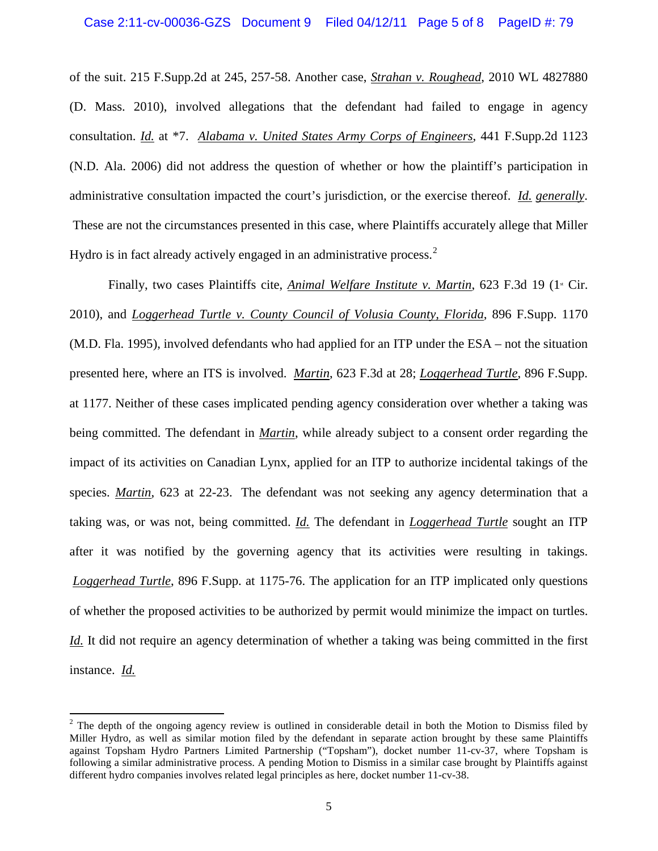of the suit. 215 F.Supp.2d at 245, 257-58. Another case, *Strahan v. Roughead*, 2010 WL 4827880 (D. Mass. 2010), involved allegations that the defendant had failed to engage in agency consultation. *Id.* at \*7. *Alabama v. United States Army Corps of Engineers*, 441 F.Supp.2d 1123 (N.D. Ala. 2006) did not address the question of whether or how the plaintiff's participation in administrative consultation impacted the court's jurisdiction, or the exercise thereof. *Id. generally*. These are not the circumstances presented in this case, where Plaintiffs accurately allege that Miller Hydro is in fact already actively engaged in an administrative process.<sup>[2](#page-4-0)</sup>

Finally, two cases Plaintiffs cite, *Animal Welfare Institute v. Martin*, 623 F.3d 19 (1<sup>*x*</sup> Cir. 2010), and *Loggerhead Turtle v. County Council of Volusia County, Florida*, 896 F.Supp. 1170 (M.D. Fla. 1995), involved defendants who had applied for an ITP under the ESA – not the situation presented here, where an ITS is involved. *Martin*, 623 F.3d at 28; *Loggerhead Turtle*, 896 F.Supp. at 1177. Neither of these cases implicated pending agency consideration over whether a taking was being committed. The defendant in *Martin*, while already subject to a consent order regarding the impact of its activities on Canadian Lynx, applied for an ITP to authorize incidental takings of the species. *Martin*, 623 at 22-23. The defendant was not seeking any agency determination that a taking was, or was not, being committed. *Id.* The defendant in *Loggerhead Turtle* sought an ITP after it was notified by the governing agency that its activities were resulting in takings. *Loggerhead Turtle*, 896 F.Supp. at 1175-76. The application for an ITP implicated only questions of whether the proposed activities to be authorized by permit would minimize the impact on turtles. *Id.* It did not require an agency determination of whether a taking was being committed in the first instance. *Id.*

<span id="page-4-0"></span><sup>&</sup>lt;sup>2</sup> The depth of the ongoing agency review is outlined in considerable detail in both the Motion to Dismiss filed by Miller Hydro, as well as similar motion filed by the defendant in separate action brought by these same Plaintiffs against Topsham Hydro Partners Limited Partnership ("Topsham"), docket number 11-cv-37, where Topsham is following a similar administrative process. A pending Motion to Dismiss in a similar case brought by Plaintiffs against different hydro companies involves related legal principles as here, docket number 11-cv-38.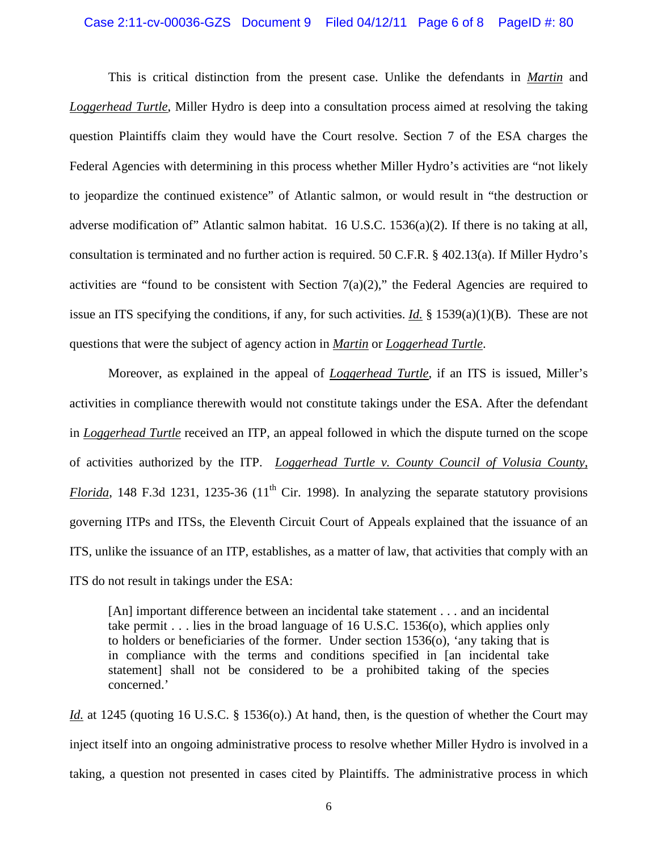#### Case 2:11-cv-00036-GZS Document 9 Filed 04/12/11 Page 6 of 8 PageID #: 80

This is critical distinction from the present case. Unlike the defendants in *Martin* and *Loggerhead Turtle*, Miller Hydro is deep into a consultation process aimed at resolving the taking question Plaintiffs claim they would have the Court resolve. Section 7 of the ESA charges the Federal Agencies with determining in this process whether Miller Hydro's activities are "not likely to jeopardize the continued existence" of Atlantic salmon, or would result in "the destruction or adverse modification of" Atlantic salmon habitat. 16 U.S.C. 1536(a)(2). If there is no taking at all, consultation is terminated and no further action is required. 50 C.F.R. § 402.13(a). If Miller Hydro's activities are "found to be consistent with Section  $7(a)(2)$ ," the Federal Agencies are required to issue an ITS specifying the conditions, if any, for such activities. *Id.* § 1539(a)(1)(B). These are not questions that were the subject of agency action in *Martin* or *Loggerhead Turtle*.

Moreover, as explained in the appeal of *Loggerhead Turtle*, if an ITS is issued, Miller's activities in compliance therewith would not constitute takings under the ESA. After the defendant in *Loggerhead Turtle* received an ITP, an appeal followed in which the dispute turned on the scope of activities authorized by the ITP. *Loggerhead Turtle v. County Council of Volusia County, Florida*, 148 F.3d 1231, 1235-36 (11<sup>th</sup> Cir. 1998). In analyzing the separate statutory provisions governing ITPs and ITSs, the Eleventh Circuit Court of Appeals explained that the issuance of an ITS, unlike the issuance of an ITP, establishes, as a matter of law, that activities that comply with an ITS do not result in takings under the ESA:

[An] important difference between an incidental take statement . . . and an incidental take permit . . . lies in the broad language of 16 U.S.C. 1536(o), which applies only to holders or beneficiaries of the former. Under section 1536(o), 'any taking that is in compliance with the terms and conditions specified in [an incidental take statement] shall not be considered to be a prohibited taking of the species concerned.'

*Id.* at 1245 (quoting 16 U.S.C. § 1536(o).) At hand, then, is the question of whether the Court may inject itself into an ongoing administrative process to resolve whether Miller Hydro is involved in a taking, a question not presented in cases cited by Plaintiffs. The administrative process in which

6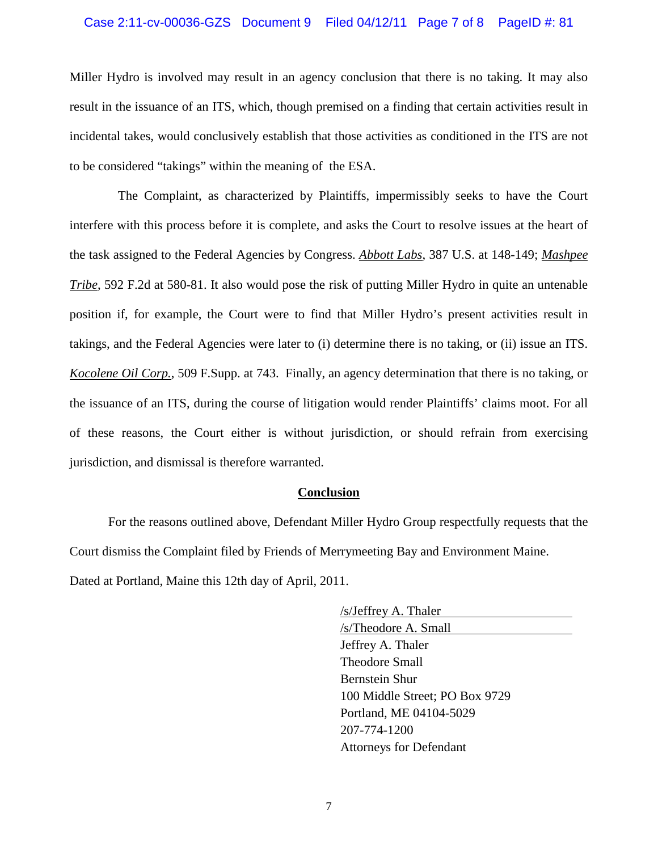#### Case 2:11-cv-00036-GZS Document 9 Filed 04/12/11 Page 7 of 8 PageID #: 81

Miller Hydro is involved may result in an agency conclusion that there is no taking. It may also result in the issuance of an ITS, which, though premised on a finding that certain activities result in incidental takes, would conclusively establish that those activities as conditioned in the ITS are not to be considered "takings" within the meaning of the ESA.

 The Complaint, as characterized by Plaintiffs, impermissibly seeks to have the Court interfere with this process before it is complete, and asks the Court to resolve issues at the heart of the task assigned to the Federal Agencies by Congress. *Abbott Labs*, 387 U.S. at 148-149; *Mashpee Tribe*, 592 F.2d at 580-81. It also would pose the risk of putting Miller Hydro in quite an untenable position if, for example, the Court were to find that Miller Hydro's present activities result in takings, and the Federal Agencies were later to (i) determine there is no taking, or (ii) issue an ITS. *Kocolene Oil Corp.*, 509 F.Supp. at 743. Finally, an agency determination that there is no taking, or the issuance of an ITS, during the course of litigation would render Plaintiffs' claims moot. For all of these reasons, the Court either is without jurisdiction, or should refrain from exercising jurisdiction, and dismissal is therefore warranted.

### **Conclusion**

For the reasons outlined above, Defendant Miller Hydro Group respectfully requests that the Court dismiss the Complaint filed by Friends of Merrymeeting Bay and Environment Maine.

Dated at Portland, Maine this 12th day of April, 2011.

/s/Jeffrey A. Thaler /s/Theodore A. Small Jeffrey A. Thaler Theodore Small Bernstein Shur 100 Middle Street; PO Box 9729 Portland, ME 04104-5029 207-774-1200 Attorneys for Defendant